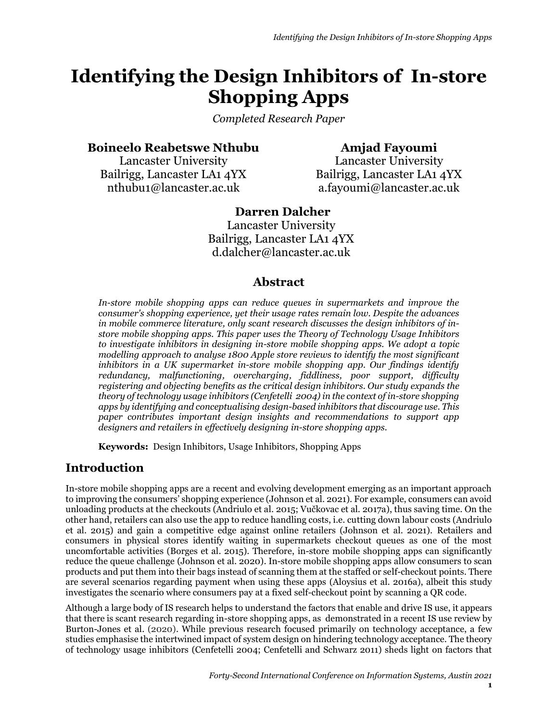# **Identifying the Design Inhibitors of In-store Shopping Apps**

*Completed Research Paper*

# **Boineelo Reabetswe Nthubu**

Lancaster University Bailrigg, Lancaster LA1 4YX nthubu1@lancaster.ac.uk

**Amjad Fayoumi** Lancaster University Bailrigg, Lancaster LA1 4YX [a.fayoumi@lancaster.ac.uk](mailto:a.fayoumi@lancaster.ac.uk)

## **Darren Dalcher** Lancaster University Bailrigg, Lancaster LA1 4YX [d.dalcher@lancaster.ac.uk](mailto:d.dalcher@lancaster.ac.uk)

# **Abstract**

*In-store mobile shopping apps can reduce queues in supermarkets and improve the consumer's shopping experience, yet their usage rates remain low. Despite the advances in mobile commerce literature, only scant research discusses the design inhibitors of instore mobile shopping apps. This paper uses the Theory of Technology Usage Inhibitors to investigate inhibitors in designing in-store mobile shopping apps. We adopt a topic modelling approach to analyse 1800 Apple store reviews to identify the most significant inhibitors in a UK supermarket in-store mobile shopping app. Our findings identify redundancy, malfunctioning, overcharging, fiddliness, poor support, difficulty registering and objecting benefits as the critical design inhibitors. Our study expands the theory of technology usage inhibitors (Cenfetelli 2004) in the context of in-store shopping apps by identifying and conceptualising design-based inhibitors that discourage use. This paper contributes important design insights and recommendations to support app designers and retailers in effectively designing in-store shopping apps.*

**Keywords:** Design Inhibitors, Usage Inhibitors, Shopping Apps

# **Introduction**

In-store mobile shopping apps are a recent and evolving development emerging as an important approach to improving the consumers' shopping experience (Johnson et al. 2021). For example, consumers can avoid unloading products at the checkouts (Andriulo et al. 2015; Vučkovac et al. 2017a), thus saving time. On the other hand, retailers can also use the app to reduce handling costs, i.e. cutting down labour costs (Andriulo et al. 2015) and gain a competitive edge against online retailers (Johnson et al. 2021). Retailers and consumers in physical stores identify waiting in supermarkets checkout queues as one of the most uncomfortable activities (Borges et al. 2015). Therefore, in-store mobile shopping apps can significantly reduce the queue challenge (Johnson et al. 2020). In-store mobile shopping apps allow consumers to scan products and put them into their bags instead of scanning them at the staffed or self-checkout points. There are several scenarios regarding payment when using these apps (Aloysius et al. 2016a), albeit this study investigates the scenario where consumers pay at a fixed self-checkout point by scanning a QR code.

Although a large body of IS research helps to understand the factors that enable and drive IS use, it appears that there is scant research regarding in-store shopping apps, as demonstrated in a recent IS use review by Burton-Jones et al. (2020). While previous research focused primarily on technology acceptance, a few studies emphasise the intertwined impact of system design on hindering technology acceptance. The theory of technology usage inhibitors (Cenfetelli 2004; Cenfetelli and Schwarz 2011) sheds light on factors that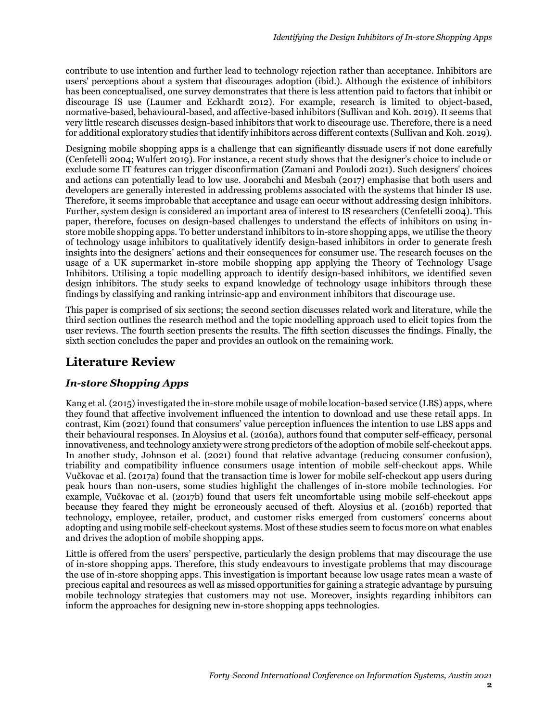contribute to use intention and further lead to technology rejection rather than acceptance. Inhibitors are users' perceptions about a system that discourages adoption (ibid.). Although the existence of inhibitors has been conceptualised, one survey demonstrates that there is less attention paid to factors that inhibit or discourage IS use (Laumer and Eckhardt 2012). For example, research is limited to object-based, normative-based, behavioural-based, and affective-based inhibitors (Sullivan and Koh. 2019). It seems that very little research discusses design-based inhibitors that work to discourage use. Therefore, there is a need for additional exploratory studies that identify inhibitors across different contexts (Sullivan and Koh. 2019).

Designing mobile shopping apps is a challenge that can significantly dissuade users if not done carefully (Cenfetelli 2004; Wulfert 2019). For instance, a recent study shows that the designer's choice to include or exclude some IT features can trigger disconfirmation (Zamani and Poulodi 2021). Such designers' choices and actions can potentially lead to low use. Joorabchi and Mesbah (2017) emphasise that both users and developers are generally interested in addressing problems associated with the systems that hinder IS use. Therefore, it seems improbable that acceptance and usage can occur without addressing design inhibitors. Further, system design is considered an important area of interest to IS researchers (Cenfetelli 2004). This paper, therefore, focuses on design-based challenges to understand the effects of inhibitors on using instore mobile shopping apps. To better understand inhibitors to in-store shopping apps, we utilise the theory of technology usage inhibitors to qualitatively identify design-based inhibitors in order to generate fresh insights into the designers' actions and their consequences for consumer use. The research focuses on the usage of a UK supermarket in-store mobile shopping app applying the Theory of Technology Usage Inhibitors. Utilising a topic modelling approach to identify design-based inhibitors, we identified seven design inhibitors. The study seeks to expand knowledge of technology usage inhibitors through these findings by classifying and ranking intrinsic-app and environment inhibitors that discourage use.

This paper is comprised of six sections; the second section discusses related work and literature, while the third section outlines the research method and the topic modelling approach used to elicit topics from the user reviews. The fourth section presents the results. The fifth section discusses the findings. Finally, the sixth section concludes the paper and provides an outlook on the remaining work.

# **Literature Review**

#### *In-store Shopping Apps*

Kang et al. (2015) investigated the in-store mobile usage of mobile location-based service (LBS) apps, where they found that affective involvement influenced the intention to download and use these retail apps. In contrast, Kim (2021) found that consumers' value perception influences the intention to use LBS apps and their behavioural responses. In Aloysius et al. (2016a), authors found that computer self-efficacy, personal innovativeness, and technology anxiety were strong predictors of the adoption of mobile self-checkout apps. In another study, Johnson et al. (2021) found that relative advantage (reducing consumer confusion), triability and compatibility influence consumers usage intention of mobile self-checkout apps. While Vučkovac et al. (2017a) found that the transaction time is lower for mobile self-checkout app users during peak hours than non-users, some studies highlight the challenges of in-store mobile technologies. For example, Vučkovac et al. (2017b) found that users felt uncomfortable using mobile self-checkout apps because they feared they might be erroneously accused of theft. Aloysius et al. (2016b) reported that technology, employee, retailer, product, and customer risks emerged from customers' concerns about adopting and using mobile self-checkout systems. Most of these studies seem to focus more on what enables and drives the adoption of mobile shopping apps.

Little is offered from the users' perspective, particularly the design problems that may discourage the use of in-store shopping apps. Therefore, this study endeavours to investigate problems that may discourage the use of in-store shopping apps. This investigation is important because low usage rates mean a waste of precious capital and resources as well as missed opportunities for gaining a strategic advantage by pursuing mobile technology strategies that customers may not use. Moreover, insights regarding inhibitors can inform the approaches for designing new in-store shopping apps technologies.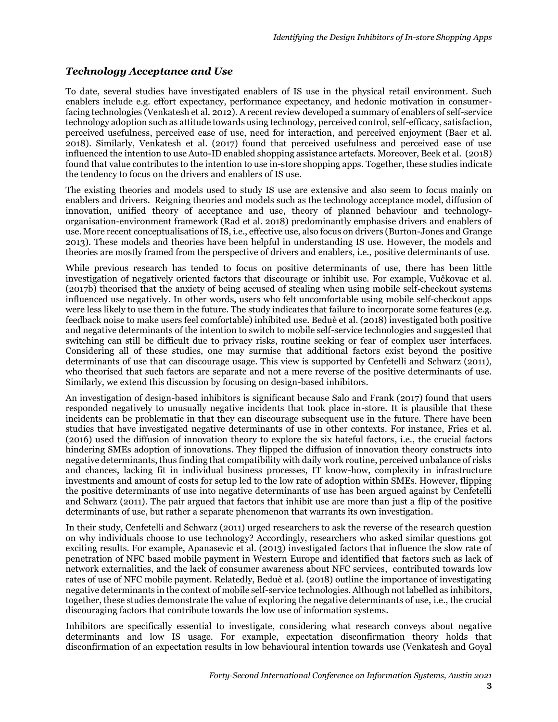#### *Technology Acceptance and Use*

To date, several studies have investigated enablers of IS use in the physical retail environment. Such enablers include e.g. effort expectancy, performance expectancy, and hedonic motivation in consumerfacing technologies (Venkatesh et al. 2012). A recent review developed a summary of enablers of self-service technology adoption such as attitude towards using technology, perceived control, self-efficacy, satisfaction, perceived usefulness, perceived ease of use, need for interaction, and perceived enjoyment (Baer et al. 2018). Similarly, Venkatesh et al. (2017) found that perceived usefulness and perceived ease of use influenced the intention to use Auto-ID enabled shopping assistance artefacts. Moreover, Beek et al. (2018) found that value contributes to the intention to use in-store shopping apps. Together, these studies indicate the tendency to focus on the drivers and enablers of IS use.

The existing theories and models used to study IS use are extensive and also seem to focus mainly on enablers and drivers. Reigning theories and models such as the technology acceptance model, diffusion of innovation, unified theory of acceptance and use, theory of planned behaviour and technologyorganisation-environment framework (Rad et al. 2018) predominantly emphasise drivers and enablers of use. More recent conceptualisations of IS, i.e., effective use, also focus on drivers (Burton-Jones and Grange 2013). These models and theories have been helpful in understanding IS use. However, the models and theories are mostly framed from the perspective of drivers and enablers, i.e., positive determinants of use.

While previous research has tended to focus on positive determinants of use, there has been little investigation of negatively oriented factors that discourage or inhibit use. For example, Vučkovac et al. (2017b) theorised that the anxiety of being accused of stealing when using mobile self-checkout systems influenced use negatively. In other words, users who felt uncomfortable using mobile self-checkout apps were less likely to use them in the future. The study indicates that failure to incorporate some features (e.g. feedback noise to make users feel comfortable) inhibited use. Beduè et al. (2018) investigated both positive and negative determinants of the intention to switch to mobile self-service technologies and suggested that switching can still be difficult due to privacy risks, routine seeking or fear of complex user interfaces. Considering all of these studies, one may surmise that additional factors exist beyond the positive determinants of use that can discourage usage. This view is supported by Cenfetelli and Schwarz (2011), who theorised that such factors are separate and not a mere reverse of the positive determinants of use. Similarly, we extend this discussion by focusing on design-based inhibitors.

An investigation of design-based inhibitors is significant because Salo and Frank (2017) found that users responded negatively to unusually negative incidents that took place in-store. It is plausible that these incidents can be problematic in that they can discourage subsequent use in the future. There have been studies that have investigated negative determinants of use in other contexts. For instance, Fries et al. (2016) used the diffusion of innovation theory to explore the six hateful factors, i.e., the crucial factors hindering SMEs adoption of innovations. They flipped the diffusion of innovation theory constructs into negative determinants, thus finding that compatibility with daily work routine, perceived unbalance of risks and chances, lacking fit in individual business processes, IT know-how, complexity in infrastructure investments and amount of costs for setup led to the low rate of adoption within SMEs. However, flipping the positive determinants of use into negative determinants of use has been argued against by Cenfetelli and Schwarz (2011). The pair argued that factors that inhibit use are more than just a flip of the positive determinants of use, but rather a separate phenomenon that warrants its own investigation.

In their study, Cenfetelli and Schwarz (2011) urged researchers to ask the reverse of the research question on why individuals choose to use technology? Accordingly, researchers who asked similar questions got exciting results. For example, Apanasevic et al. (2013) investigated factors that influence the slow rate of penetration of NFC based mobile payment in Western Europe and identified that factors such as lack of network externalities, and the lack of consumer awareness about NFC services, contributed towards low rates of use of NFC mobile payment. Relatedly, Beduè et al. (2018) outline the importance of investigating negative determinants in the context of mobile self-service technologies. Although not labelled as inhibitors, together, these studies demonstrate the value of exploring the negative determinants of use, i.e., the crucial discouraging factors that contribute towards the low use of information systems.

Inhibitors are specifically essential to investigate, considering what research conveys about negative determinants and low IS usage. For example, expectation disconfirmation theory holds that disconfirmation of an expectation results in low behavioural intention towards use (Venkatesh and Goyal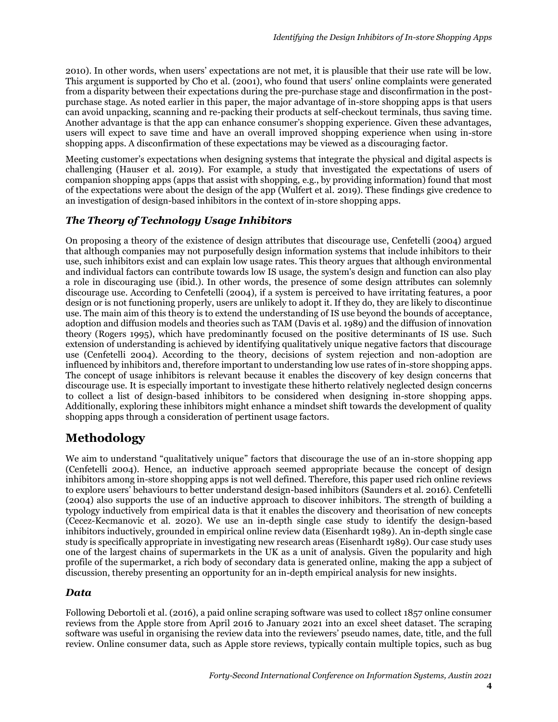2010). In other words, when users' expectations are not met, it is plausible that their use rate will be low. This argument is supported by Cho et al. (2001), who found that users' online complaints were generated from a disparity between their expectations during the pre-purchase stage and disconfirmation in the postpurchase stage. As noted earlier in this paper, the major advantage of in-store shopping apps is that users can avoid unpacking, scanning and re-packing their products at self-checkout terminals, thus saving time. Another advantage is that the app can enhance consumer's shopping experience. Given these advantages, users will expect to save time and have an overall improved shopping experience when using in-store shopping apps. A disconfirmation of these expectations may be viewed as a discouraging factor.

Meeting customer's expectations when designing systems that integrate the physical and digital aspects is challenging (Hauser et al. 2019). For example, a study that investigated the expectations of users of companion shopping apps (apps that assist with shopping, e.g., by providing information) found that most of the expectations were about the design of the app (Wulfert et al. 2019). These findings give credence to an investigation of design-based inhibitors in the context of in-store shopping apps.

#### *The Theory of Technology Usage Inhibitors*

On proposing a theory of the existence of design attributes that discourage use, Cenfetelli (2004) argued that although companies may not purposefully design information systems that include inhibitors to their use, such inhibitors exist and can explain low usage rates. This theory argues that although environmental and individual factors can contribute towards low IS usage, the system's design and function can also play a role in discouraging use (ibid.). In other words, the presence of some design attributes can solemnly discourage use. According to Cenfetelli (2004), if a system is perceived to have irritating features, a poor design or is not functioning properly, users are unlikely to adopt it. If they do, they are likely to discontinue use. The main aim of this theory is to extend the understanding of IS use beyond the bounds of acceptance, adoption and diffusion models and theories such as TAM (Davis et al. 1989) and the diffusion of innovation theory (Rogers 1995), which have predominantly focused on the positive determinants of IS use. Such extension of understanding is achieved by identifying qualitatively unique negative factors that discourage use (Cenfetelli 2004). According to the theory, decisions of system rejection and non-adoption are influenced by inhibitors and, therefore important to understanding low use rates of in-store shopping apps. The concept of usage inhibitors is relevant because it enables the discovery of key design concerns that discourage use. It is especially important to investigate these hitherto relatively neglected design concerns to collect a list of design-based inhibitors to be considered when designing in-store shopping apps. Additionally, exploring these inhibitors might enhance a mindset shift towards the development of quality shopping apps through a consideration of pertinent usage factors.

# **Methodology**

We aim to understand "qualitatively unique" factors that discourage the use of an in-store shopping app (Cenfetelli 2004). Hence, an inductive approach seemed appropriate because the concept of design inhibitors among in-store shopping apps is not well defined. Therefore, this paper used rich online reviews to explore users' behaviours to better understand design-based inhibitors (Saunders et al. 2016). Cenfetelli (2004) also supports the use of an inductive approach to discover inhibitors. The strength of building a typology inductively from empirical data is that it enables the discovery and theorisation of new concepts (Cecez-Kecmanovic et al. 2020). We use an in-depth single case study to identify the design-based inhibitors inductively, grounded in empirical online review data (Eisenhardt 1989). An in-depth single case study is specifically appropriate in investigating new research areas (Eisenhardt 1989). Our case study uses one of the largest chains of supermarkets in the UK as a unit of analysis. Given the popularity and high profile of the supermarket, a rich body of secondary data is generated online, making the app a subject of discussion, thereby presenting an opportunity for an in-depth empirical analysis for new insights.

#### *Data*

Following Debortoli et al. (2016), a paid online scraping software was used to collect 1857 online consumer reviews from the Apple store from April 2016 to January 2021 into an excel sheet dataset. The scraping software was useful in organising the review data into the reviewers' pseudo names, date, title, and the full review. Online consumer data, such as Apple store reviews, typically contain multiple topics, such as bug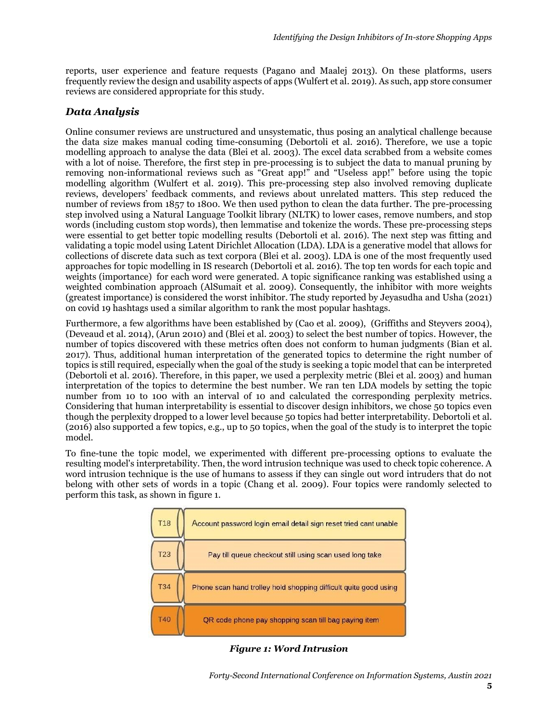reports, user experience and feature requests (Pagano and Maalej 2013). On these platforms, users frequently review the design and usability aspects of apps (Wulfert et al. 2019). As such, app store consumer reviews are considered appropriate for this study.

#### *Data Analysis*

Online consumer reviews are unstructured and unsystematic, thus posing an analytical challenge because the data size makes manual coding time-consuming (Debortoli et al. 2016). Therefore, we use a topic modelling approach to analyse the data (Blei et al. 2003). The excel data scrabbed from a website comes with a lot of noise. Therefore, the first step in pre-processing is to subject the data to manual pruning by removing non-informational reviews such as "Great app!" and "Useless app!" before using the topic modelling algorithm (Wulfert et al. 2019). This pre-processing step also involved removing duplicate reviews, developers' feedback comments, and reviews about unrelated matters. This step reduced the number of reviews from 1857 to 1800. We then used python to clean the data further. The pre-processing step involved using a Natural Language Toolkit library (NLTK) to lower cases, remove numbers, and stop words (including custom stop words), then lemmatise and tokenize the words. These pre-processing steps were essential to get better topic modelling results (Debortoli et al. 2016). The next step was fitting and validating a topic model using Latent Dirichlet Allocation (LDA). LDA is a generative model that allows for collections of discrete data such as text corpora (Blei et al. 2003). LDA is one of the most frequently used approaches for topic modelling in IS research (Debortoli et al. 2016). The top ten words for each topic and weights (importance) for each word were generated. A topic significance ranking was established using a weighted combination approach (AlSumait et al. 2009). Consequently, the inhibitor with more weights (greatest importance) is considered the worst inhibitor. The study reported by Jeyasudha and Usha (2021) on covid 19 hashtags used a similar algorithm to rank the most popular hashtags.

Furthermore, a few algorithms have been established by [\(Cao et al.](https://www.sciencedirect.com/science/article/pii/S0198971518302898?casa_token=DKWOELJua4UAAAAA:-uPwgPxdrRASM74_premZiLw6H_TyH9NDTuwJUbSS3L9C0VxSxecFolctgl_OiBcKMRMP8M-#bb0020) 2009), (Griffiths and [Steyvers 2004\)](https://www.sciencedirect.com/science/article/pii/S0198971518302898?casa_token=DKWOELJua4UAAAAA:-uPwgPxdrRASM74_premZiLw6H_TyH9NDTuwJUbSS3L9C0VxSxecFolctgl_OiBcKMRMP8M-#bb0075), (Deveaud et al. 2014), (Arun 2010) and [\(Blei et al. 2003\)](https://www.sciencedirect.com/science/article/pii/S0198971518302898?casa_token=DKWOELJua4UAAAAA:-uPwgPxdrRASM74_premZiLw6H_TyH9NDTuwJUbSS3L9C0VxSxecFolctgl_OiBcKMRMP8M-#bb0015) to select the best number of topics. However, the number of topics discovered with these metrics often does not conform to human judgments (Bian et al. 2017). Thus, additional human interpretation of the generated topics to determine the right number of topics is still required, especially when the goal of the study is seeking a topic model that can be interpreted (Debortoli et al. 2016). Therefore, in this paper, we used a perplexity metric (Blei et al. 2003) and human interpretation of the topics to determine the best number. We ran ten LDA models by setting the topic number from 10 to 100 with an interval of 10 and calculated the corresponding perplexity metrics. Considering that human interpretability is essential to discover design inhibitors, we chose 50 topics even though the perplexity dropped to a lower level because 50 topics had better interpretability. Debortoli et al. (2016) also supported a few topics, e.g., up to 50 topics, when the goal of the study is to interpret the topic model.

To fine-tune the topic model, we experimented with different pre-processing options to evaluate the resulting model's interpretability. Then, the word intrusion technique was used to check topic coherence. A word intrusion technique is the use of humans to assess if they can single out word intruders that do not belong with other sets of words in a topic (Chang et al. 2009). Four topics were randomly selected to perform this task, as shown in figure 1.

| <b>T18</b> | Account password login email detail sign reset tried cant unable |
|------------|------------------------------------------------------------------|
| <b>T23</b> | Pay till queue checkout still using scan used long take          |
| <b>T34</b> | Phone scan hand trolley hold shopping difficult quite good using |
| <b>T40</b> | QR code phone pay shopping scan till bag paying item             |

*Figure 1: Word Intrusion*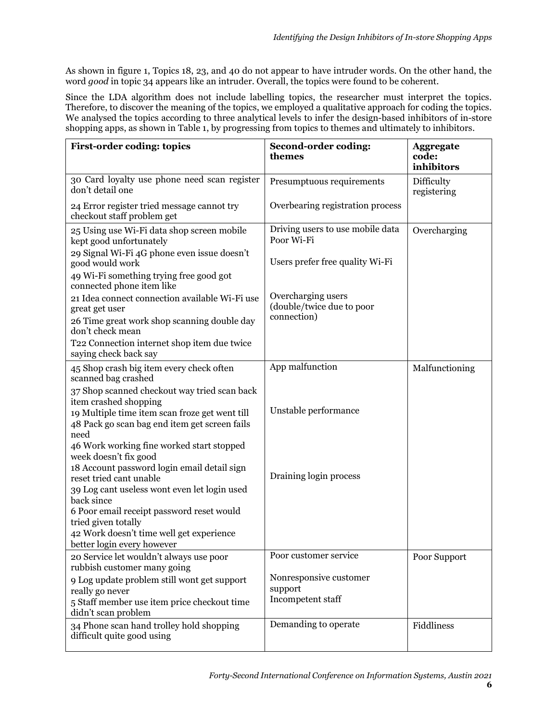As shown in figure 1, Topics 18, 23, and 40 do not appear to have intruder words. On the other hand, the word *good* in topic 34 appears like an intruder. Overall, the topics were found to be coherent.

Since the LDA algorithm does not include labelling topics, the researcher must interpret the topics. Therefore, to discover the meaning of the topics, we employed a qualitative approach for coding the topics. We analysed the topics according to three analytical levels to infer the design-based inhibitors of in-store shopping apps, as shown in Table 1, by progressing from topics to themes and ultimately to inhibitors.

| <b>First-order coding: topics</b>                                                                                                                                        | Second-order coding:<br>themes                                 | <b>Aggregate</b><br>code:<br>inhibitors |
|--------------------------------------------------------------------------------------------------------------------------------------------------------------------------|----------------------------------------------------------------|-----------------------------------------|
| 30 Card loyalty use phone need scan register<br>don't detail one                                                                                                         | Presumptuous requirements                                      | Difficulty<br>registering               |
| 24 Error register tried message cannot try<br>checkout staff problem get                                                                                                 | Overbearing registration process                               |                                         |
| 25 Using use Wi-Fi data shop screen mobile<br>kept good unfortunately                                                                                                    | Driving users to use mobile data<br>Poor Wi-Fi                 | Overcharging                            |
| 29 Signal Wi-Fi 4G phone even issue doesn't<br>good would work                                                                                                           | Users prefer free quality Wi-Fi                                |                                         |
| 49 Wi-Fi something trying free good got<br>connected phone item like                                                                                                     |                                                                |                                         |
| 21 Idea connect connection available Wi-Fi use<br>great get user                                                                                                         | Overcharging users<br>(double/twice due to poor<br>connection) |                                         |
| 26 Time great work shop scanning double day<br>don't check mean                                                                                                          |                                                                |                                         |
| T22 Connection internet shop item due twice<br>saying check back say                                                                                                     |                                                                |                                         |
| 45 Shop crash big item every check often<br>scanned bag crashed                                                                                                          | App malfunction                                                | Malfunctioning                          |
| 37 Shop scanned checkout way tried scan back<br>item crashed shopping<br>19 Multiple time item scan froze get went till<br>48 Pack go scan bag end item get screen fails | Unstable performance                                           |                                         |
| need<br>46 Work working fine worked start stopped<br>week doesn't fix good                                                                                               |                                                                |                                         |
| 18 Account password login email detail sign<br>reset tried cant unable<br>39 Log cant useless wont even let login used                                                   | Draining login process                                         |                                         |
| back since<br>6 Poor email receipt password reset would<br>tried given totally<br>42 Work doesn't time well get experience<br>better login every however                 |                                                                |                                         |
| 20 Service let wouldn't always use poor<br>rubbish customer many going                                                                                                   | Poor customer service                                          | Poor Support                            |
| 9 Log update problem still wont get support<br>really go never<br>5 Staff member use item price checkout time<br>didn't scan problem                                     | Nonresponsive customer<br>support<br>Incompetent staff         |                                         |
| 34 Phone scan hand trolley hold shopping<br>difficult quite good using                                                                                                   | Demanding to operate                                           | Fiddliness                              |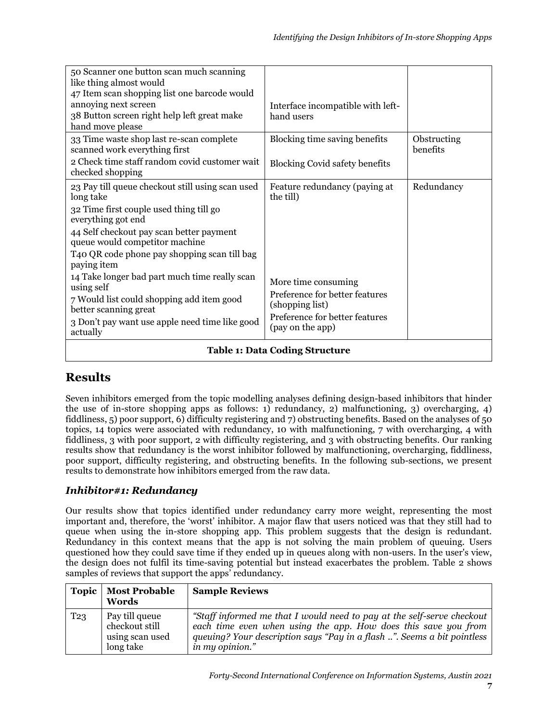| 50 Scanner one button scan much scanning<br>like thing almost would<br>47 Item scan shopping list one barcode would<br>annoying next screen<br>38 Button screen right help left great make<br>hand move please                                                                                                                                                                                                                                                                 | Interface incompatible with left-<br>hand users                                                                                                                              |                         |
|--------------------------------------------------------------------------------------------------------------------------------------------------------------------------------------------------------------------------------------------------------------------------------------------------------------------------------------------------------------------------------------------------------------------------------------------------------------------------------|------------------------------------------------------------------------------------------------------------------------------------------------------------------------------|-------------------------|
| 33 Time waste shop last re-scan complete<br>scanned work everything first<br>2 Check time staff random covid customer wait<br>checked shopping                                                                                                                                                                                                                                                                                                                                 | Blocking time saving benefits<br><b>Blocking Covid safety benefits</b>                                                                                                       | Obstructing<br>benefits |
| 23 Pay till queue checkout still using scan used<br>long take<br>32 Time first couple used thing till go<br>everything got end<br>44 Self checkout pay scan better payment<br>queue would competitor machine<br>T40 QR code phone pay shopping scan till bag<br>paying item<br>14 Take longer bad part much time really scan<br>using self<br>7 Would list could shopping add item good<br>better scanning great<br>3 Don't pay want use apple need time like good<br>actually | Feature redundancy (paying at<br>the till)<br>More time consuming<br>Preference for better features<br>(shopping list)<br>Preference for better features<br>(pay on the app) | Redundancy              |
| <b>Table 1: Data Coding Structure</b>                                                                                                                                                                                                                                                                                                                                                                                                                                          |                                                                                                                                                                              |                         |

# **Results**

Seven inhibitors emerged from the topic modelling analyses defining design-based inhibitors that hinder the use of in-store shopping apps as follows: 1) redundancy, 2) malfunctioning, 3) overcharging, 4) fiddliness, 5) poor support, 6) difficulty registering and 7) obstructing benefits. Based on the analyses of 50 topics, 14 topics were associated with redundancy, 10 with malfunctioning, 7 with overcharging, 4 with fiddliness, 3 with poor support, 2 with difficulty registering, and 3 with obstructing benefits. Our ranking results show that redundancy is the worst inhibitor followed by malfunctioning, overcharging, fiddliness, poor support, difficulty registering, and obstructing benefits. In the following sub-sections, we present results to demonstrate how inhibitors emerged from the raw data.

## *Inhibitor#1: Redundancy*

Our results show that topics identified under redundancy carry more weight, representing the most important and, therefore, the 'worst' inhibitor. A major flaw that users noticed was that they still had to queue when using the in-store shopping app. This problem suggests that the design is redundant. Redundancy in this context means that the app is not solving the main problem of queuing. Users questioned how they could save time if they ended up in queues along with non-users. In the user's view, the design does not fulfil its time-saving potential but instead exacerbates the problem. Table 2 shows samples of reviews that support the apps' redundancy.

| <b>Topic</b>    | <b>Most Probable</b><br>Words                                    | <b>Sample Reviews</b>                                                                                                                                                                                                                  |
|-----------------|------------------------------------------------------------------|----------------------------------------------------------------------------------------------------------------------------------------------------------------------------------------------------------------------------------------|
| T <sub>23</sub> | Pay till queue<br>checkout still<br>using scan used<br>long take | "Staff informed me that I would need to pay at the self-serve checkout<br>each time even when using the app. How does this save you from<br>queuing? Your description says "Pay in a flash ". Seems a bit pointless<br>in my opinion." |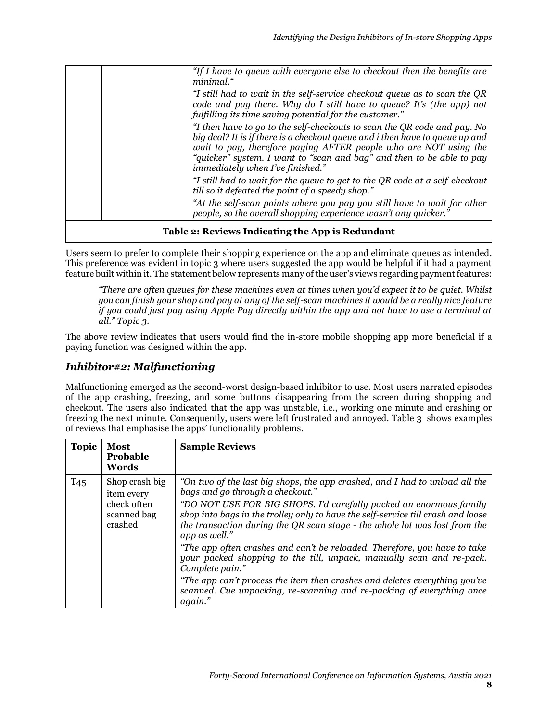|                                                  | "If I have to queue with everyone else to checkout then the benefits are<br>minimal."                                                                                                                                                                                                                                                            |
|--------------------------------------------------|--------------------------------------------------------------------------------------------------------------------------------------------------------------------------------------------------------------------------------------------------------------------------------------------------------------------------------------------------|
|                                                  | "I still had to wait in the self-service checkout queue as to scan the QR<br>code and pay there. Why do I still have to queue? It's (the app) not<br>fulfilling its time saving potential for the customer."                                                                                                                                     |
|                                                  | "I then have to go to the self-checkouts to scan the QR code and pay. No<br>big deal? It is if there is a checkout queue and i then have to queue up and<br>wait to pay, therefore paying AFTER people who are NOT using the<br>"quicker" system. I want to "scan and bag" and then to be able to pay<br><i>immediately when I've finished."</i> |
|                                                  | "I still had to wait for the queue to get to the QR code at a self-checkout<br>till so it defeated the point of a speedy shop."                                                                                                                                                                                                                  |
|                                                  | "At the self-scan points where you pay you still have to wait for other<br>people, so the overall shopping experience wasn't any quicker."                                                                                                                                                                                                       |
| Table 2: Reviews Indicating the App is Redundant |                                                                                                                                                                                                                                                                                                                                                  |

Users seem to prefer to complete their shopping experience on the app and eliminate queues as intended. This preference was evident in topic 3 where users suggested the app would be helpful if it had a payment feature built within it. The statement below represents many of the user's views regarding payment features:

*"There are often queues for these machines even at times when you'd expect it to be quiet. Whilst you can finish your shop and pay at any of the self-scan machines it would be a really nice feature if you could just pay using Apple Pay directly within the app and not have to use a terminal at all." Topic 3.*

The above review indicates that users would find the in-store mobile shopping app more beneficial if a paying function was designed within the app.

## *Inhibitor#2: Malfunctioning*

Malfunctioning emerged as the second-worst design-based inhibitor to use. Most users narrated episodes of the app crashing, freezing, and some buttons disappearing from the screen during shopping and checkout. The users also indicated that the app was unstable, i.e., working one minute and crashing or freezing the next minute. Consequently, users were left frustrated and annoyed. Table 3 shows examples of reviews that emphasise the apps' functionality problems.

| <b>Topic</b>    | <b>Most</b><br>Probable<br>Words                                      | <b>Sample Reviews</b>                                                                                                                                                                                                                                                                                                                                                                                                                                                                                                                                                                                                                                                                                              |
|-----------------|-----------------------------------------------------------------------|--------------------------------------------------------------------------------------------------------------------------------------------------------------------------------------------------------------------------------------------------------------------------------------------------------------------------------------------------------------------------------------------------------------------------------------------------------------------------------------------------------------------------------------------------------------------------------------------------------------------------------------------------------------------------------------------------------------------|
| T <sub>45</sub> | Shop crash big<br>item every<br>check often<br>scanned bag<br>crashed | "On two of the last big shops, the app crashed, and I had to unload all the<br>bags and go through a checkout."<br>"DO NOT USE FOR BIG SHOPS. I'd carefully packed an enormous family<br>shop into bags in the trolley only to have the self-service till crash and loose<br>the transaction during the QR scan stage - the whole lot was lost from the<br>app as well."<br>"The app often crashes and can't be reloaded. Therefore, you have to take<br>your packed shopping to the till, unpack, manually scan and re-pack.<br>Complete pain."<br>"The app can't process the item then crashes and deletes everything you've<br>scanned. Cue unpacking, re-scanning and re-packing of everything once<br>again." |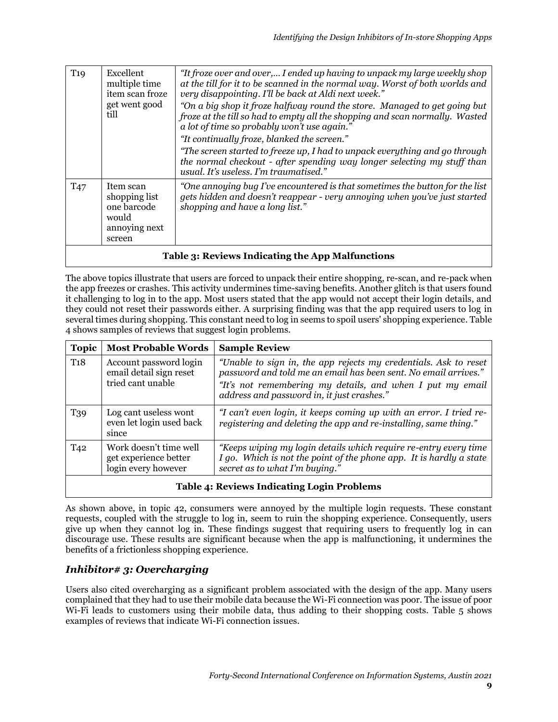| T19             | Excellent<br>multiple time<br>item scan froze<br>get went good<br>till        | "It froze over and over, I ended up having to unpack my large weekly shop<br>at the till for it to be scanned in the normal way. Worst of both worlds and<br>very disappointing. I'll be back at Aldi next week."                               |  |
|-----------------|-------------------------------------------------------------------------------|-------------------------------------------------------------------------------------------------------------------------------------------------------------------------------------------------------------------------------------------------|--|
|                 |                                                                               | "On a big shop it froze halfway round the store. Managed to get going but<br>froze at the till so had to empty all the shopping and scan normally. Wasted<br>a lot of time so probably won't use again."                                        |  |
|                 |                                                                               | "It continually froze, blanked the screen."<br>"The screen started to freeze up, I had to unpack everything and go through<br>the normal checkout - after spending way longer selecting my stuff than<br>usual. It's useless. I'm traumatised." |  |
| T <sub>47</sub> | Item scan<br>shopping list<br>one barcode<br>would<br>annoying next<br>screen | "One annoying bug I've encountered is that sometimes the button for the list<br>gets hidden and doesn't reappear - very annoying when you've just started<br>shopping and have a long list."                                                    |  |
|                 | Table 3: Reviews Indicating the App Malfunctions                              |                                                                                                                                                                                                                                                 |  |

The above topics illustrate that users are forced to unpack their entire shopping, re-scan, and re-pack when the app freezes or crashes. This activity undermines time-saving benefits. Another glitch is that users found it challenging to log in to the app. Most users stated that the app would not accept their login details, and they could not reset their passwords either. A surprising finding was that the app required users to log in several times during shopping. This constant need to log in seems to spoil users' shopping experience. Table 4 shows samples of reviews that suggest login problems.

| <b>Topic</b>    | <b>Most Probable Words</b>                                             | <b>Sample Review</b>                                                                                                                                                                                                                           |  |
|-----------------|------------------------------------------------------------------------|------------------------------------------------------------------------------------------------------------------------------------------------------------------------------------------------------------------------------------------------|--|
| T <sub>18</sub> | Account password login<br>email detail sign reset<br>tried cant unable | "Unable to sign in, the app rejects my credentials. Ask to reset<br>password and told me an email has been sent. No email arrives."<br>"It's not remembering my details, and when I put my email<br>address and password in, it just crashes." |  |
| T39             | Log cant useless wont<br>even let login used back<br>since             | "I can't even login, it keeps coming up with an error. I tried re-<br>registering and deleting the app and re-installing, same thing."                                                                                                         |  |
| T <sub>42</sub> | Work doesn't time well<br>get experience better<br>login every however | "Keeps wiping my login details which require re-entry every time<br>I go. Which is not the point of the phone app. It is hardly a state<br>secret as to what I'm buying."                                                                      |  |
|                 | Toble 4. Devices Indicating Lagin Ducklesse                            |                                                                                                                                                                                                                                                |  |

# **Table 4: Reviews Indicating Login Problems**

As shown above, in topic 42, consumers were annoyed by the multiple login requests. These constant requests, coupled with the struggle to log in, seem to ruin the shopping experience. Consequently, users give up when they cannot log in. These findings suggest that requiring users to frequently log in can discourage use. These results are significant because when the app is malfunctioning, it undermines the benefits of a frictionless shopping experience.

## *Inhibitor# 3: Overcharging*

Users also cited overcharging as a significant problem associated with the design of the app. Many users complained that they had to use their mobile data because the Wi-Fi connection was poor. The issue of poor Wi-Fi leads to customers using their mobile data, thus adding to their shopping costs. Table 5 shows examples of reviews that indicate Wi-Fi connection issues.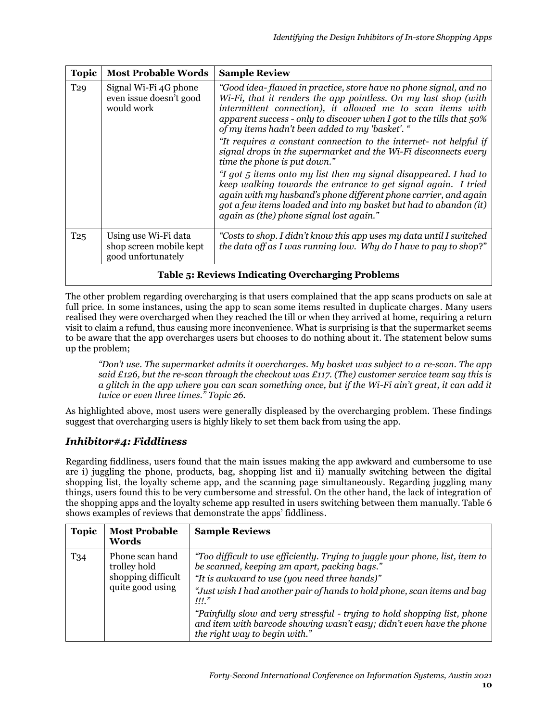| <b>Topic</b>    | <b>Most Probable Words</b>                                            | <b>Sample Review</b>                                                                                                                                                                                                                                                                                                              |  |
|-----------------|-----------------------------------------------------------------------|-----------------------------------------------------------------------------------------------------------------------------------------------------------------------------------------------------------------------------------------------------------------------------------------------------------------------------------|--|
| T <sub>29</sub> | Signal Wi-Fi 4G phone<br>even issue doesn't good<br>would work        | "Good idea- flawed in practice, store have no phone signal, and no<br>Wi-Fi, that it renders the app pointless. On my last shop (with<br>intermittent connection), it allowed me to scan items with<br>apparent success - only to discover when I got to the tills that $50\%$<br>of my items hadn't been added to my 'basket'. " |  |
|                 |                                                                       | "It requires a constant connection to the internet- not helpful if<br>signal drops in the supermarket and the Wi-Fi disconnects every<br>time the phone is put down."                                                                                                                                                             |  |
|                 |                                                                       | "I got 5 items onto my list then my signal disappeared. I had to<br>keep walking towards the entrance to get signal again. I tried<br>again with my husband's phone different phone carrier, and again<br>got a few items loaded and into my basket but had to abandon (it)<br>again as (the) phone signal lost again."           |  |
| T <sub>25</sub> | Using use Wi-Fi data<br>shop screen mobile kept<br>good unfortunately | "Costs to shop. I didn't know this app uses my data until I switched<br>the data off as I was running low. Why do I have to pay to shop?"                                                                                                                                                                                         |  |
|                 | <b>Table 5: Reviews Indicating Overcharging Problems</b>              |                                                                                                                                                                                                                                                                                                                                   |  |

The other problem regarding overcharging is that users complained that the app scans products on sale at full price. In some instances, using the app to scan some items resulted in duplicate charges. Many users realised they were overcharged when they reached the till or when they arrived at home, requiring a return visit to claim a refund, thus causing more inconvenience. What is surprising is that the supermarket seems to be aware that the app overcharges users but chooses to do nothing about it. The statement below sums up the problem;

*"Don't use. The supermarket admits it overcharges. My basket was subject to a re-scan. The app said £126, but the re-scan through the checkout was £117. (The) customer service team say this is a glitch in the app where you can scan something once, but if the Wi-Fi ain't great, it can add it twice or even three times." Topic 26.*

As highlighted above, most users were generally displeased by the overcharging problem. These findings suggest that overcharging users is highly likely to set them back from using the app.

## *Inhibitor#4: Fiddliness*

Regarding fiddliness, users found that the main issues making the app awkward and cumbersome to use are i) juggling the phone, products, bag, shopping list and ii) manually switching between the digital shopping list, the loyalty scheme app, and the scanning page simultaneously. Regarding juggling many things, users found this to be very cumbersome and stressful. On the other hand, the lack of integration of the shopping apps and the loyalty scheme app resulted in users switching between them manually. Table 6 shows examples of reviews that demonstrate the apps' fiddliness.

| <b>Topic</b>    | <b>Most Probable</b><br>Words                                             | <b>Sample Reviews</b>                                                                                                                                                                                                                                                                                                                                                                                                                                           |
|-----------------|---------------------------------------------------------------------------|-----------------------------------------------------------------------------------------------------------------------------------------------------------------------------------------------------------------------------------------------------------------------------------------------------------------------------------------------------------------------------------------------------------------------------------------------------------------|
| T <sub>34</sub> | Phone scan hand<br>trolley hold<br>shopping difficult<br>quite good using | "Too difficult to use efficiently. Trying to juggle your phone, list, item to<br>be scanned, keeping 2m apart, packing bags."<br>"It is awkward to use (you need three hands)"<br>"Just wish I had another pair of hands to hold phone, scan items and bag<br>$III$ "<br><br>"Painfully slow and very stressful - trying to hold shopping list, phone<br>and item with barcode showing wasn't easy; didn't even have the phone<br>the right way to begin with." |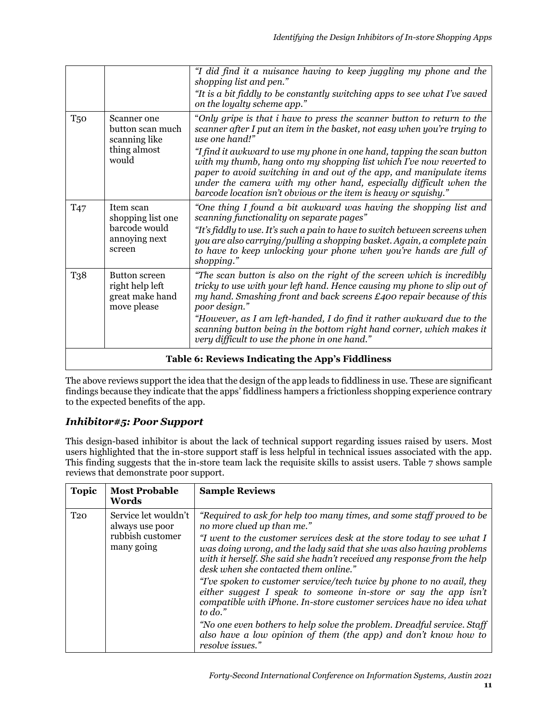|                 |                                                                           | "I did find it a nuisance having to keep juggling my phone and the<br>shopping list and pen."                                                                                                                                                                                                                                                                     |  |
|-----------------|---------------------------------------------------------------------------|-------------------------------------------------------------------------------------------------------------------------------------------------------------------------------------------------------------------------------------------------------------------------------------------------------------------------------------------------------------------|--|
|                 |                                                                           | "It is a bit fiddly to be constantly switching apps to see what I've saved<br>on the loyalty scheme app."                                                                                                                                                                                                                                                         |  |
| T <sub>50</sub> | Scanner one<br>button scan much<br>scanning like                          | "Only gripe is that i have to press the scanner button to return to the<br>scanner after I put an item in the basket, not easy when you're trying to<br>use one hand!"                                                                                                                                                                                            |  |
|                 | thing almost<br>would                                                     | "I find it awkward to use my phone in one hand, tapping the scan button<br>with my thumb, hang onto my shopping list which I've now reverted to<br>paper to avoid switching in and out of the app, and manipulate items<br>under the camera with my other hand, especially difficult when the<br>barcode location isn't obvious or the item is heavy or squishy." |  |
| T <sub>47</sub> | Item scan<br>shopping list one<br>barcode would                           | "One thing I found a bit awkward was having the shopping list and<br>scanning functionality on separate pages"<br>"It's fiddly to use. It's such a pain to have to switch between screens when                                                                                                                                                                    |  |
|                 | annoying next<br>screen                                                   | you are also carrying/pulling a shopping basket. Again, a complete pain<br>to have to keep unlocking your phone when you're hands are full of<br>shopping."                                                                                                                                                                                                       |  |
| T38             | <b>Button screen</b><br>right help left<br>great make hand<br>move please | "The scan button is also on the right of the screen which is incredibly<br>tricky to use with your left hand. Hence causing my phone to slip out of<br>my hand. Smashing front and back screens £400 repair because of this<br>poor design."                                                                                                                      |  |
|                 |                                                                           | "However, as I am left-handed, I do find it rather awkward due to the<br>scanning button being in the bottom right hand corner, which makes it<br>very difficult to use the phone in one hand."                                                                                                                                                                   |  |
|                 | Table 6: Reviews Indicating the App's Fiddliness                          |                                                                                                                                                                                                                                                                                                                                                                   |  |

The above reviews support the idea that the design of the app leads to fiddliness in use. These are significant findings because they indicate that the apps' fiddliness hampers a frictionless shopping experience contrary to the expected benefits of the app.

## *Inhibitor#5: Poor Support*

This design-based inhibitor is about the lack of technical support regarding issues raised by users. Most users highlighted that the in-store support staff is less helpful in technical issues associated with the app. This finding suggests that the in-store team lack the requisite skills to assist users. Table 7 shows sample reviews that demonstrate poor support.

| <b>Topic</b>    | <b>Most Probable</b><br>Words                                             | <b>Sample Reviews</b>                                                                                                                                                                                                                                                                                                                                                                                                                                                                                                                                                                                                                                                                                                                                                          |
|-----------------|---------------------------------------------------------------------------|--------------------------------------------------------------------------------------------------------------------------------------------------------------------------------------------------------------------------------------------------------------------------------------------------------------------------------------------------------------------------------------------------------------------------------------------------------------------------------------------------------------------------------------------------------------------------------------------------------------------------------------------------------------------------------------------------------------------------------------------------------------------------------|
| T <sub>20</sub> | Service let wouldn't<br>always use poor<br>rubbish customer<br>many going | "Required to ask for help too many times, and some staff proved to be<br>no more clued up than me."<br>"I went to the customer services desk at the store today to see what I<br>was doing wrong, and the lady said that she was also having problems<br>with it herself. She said she hadn't received any response from the help<br>desk when she contacted them online."<br>"I've spoken to customer service/tech twice by phone to no avail, they<br>either suggest I speak to someone in-store or say the app isn't<br>compatible with iPhone. In-store customer services have no idea what<br>to $do.'$<br>"No one even bothers to help solve the problem. Dreadful service. Staff<br>also have a low opinion of them (the app) and don't know how to<br>resolve issues." |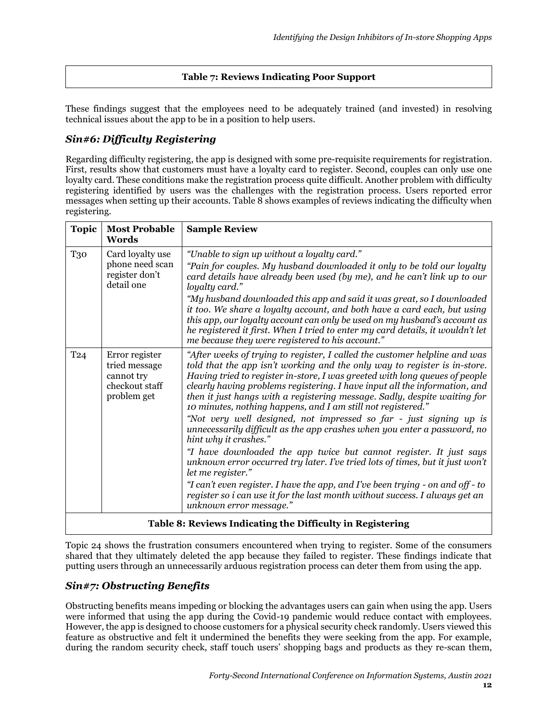#### **Table 7: Reviews Indicating Poor Support**

These findings suggest that the employees need to be adequately trained (and invested) in resolving technical issues about the app to be in a position to help users.

#### *Sin#6: Difficulty Registering*

Regarding difficulty registering, the app is designed with some pre-requisite requirements for registration. First, results show that customers must have a loyalty card to register. Second, couples can only use one loyalty card. These conditions make the registration process quite difficult. Another problem with difficulty registering identified by users was the challenges with the registration process. Users reported error messages when setting up their accounts. Table 8 shows examples of reviews indicating the difficulty when registering.

| <b>Topic</b>                                              | <b>Most Probable</b><br>Words                                                  | <b>Sample Review</b>                                                                                                                                                                                                                                                                                                                                                                                                                                                                                                                                                                                                                                                                                                                                                                                                                                                                                                                                                                                                  |  |  |  |
|-----------------------------------------------------------|--------------------------------------------------------------------------------|-----------------------------------------------------------------------------------------------------------------------------------------------------------------------------------------------------------------------------------------------------------------------------------------------------------------------------------------------------------------------------------------------------------------------------------------------------------------------------------------------------------------------------------------------------------------------------------------------------------------------------------------------------------------------------------------------------------------------------------------------------------------------------------------------------------------------------------------------------------------------------------------------------------------------------------------------------------------------------------------------------------------------|--|--|--|
| <b>T30</b>                                                | Card loyalty use<br>phone need scan<br>register don't<br>detail one            | "Unable to sign up without a loyalty card."<br>"Pain for couples. My husband downloaded it only to be told our loyalty<br>card details have already been used (by me), and he can't link up to our<br>loyalty card."<br>"My husband downloaded this app and said it was great, so I downloaded<br>it too. We share a loyalty account, and both have a card each, but using<br>this app, our loyalty account can only be used on my husband's account as<br>he registered it first. When I tried to enter my card details, it wouldn't let<br>me because they were registered to his account."                                                                                                                                                                                                                                                                                                                                                                                                                         |  |  |  |
| T <sub>24</sub>                                           | Error register<br>tried message<br>cannot try<br>checkout staff<br>problem get | "After weeks of trying to register, I called the customer helpline and was<br>told that the app isn't working and the only way to register is in-store.<br>Having tried to register in-store, I was greeted with long queues of people<br>clearly having problems registering. I have input all the information, and<br>then it just hangs with a registering message. Sadly, despite waiting for<br>10 minutes, nothing happens, and I am still not registered."<br>"Not very well designed, not impressed so far - just signing up is<br>unnecessarily difficult as the app crashes when you enter a password, no<br>hint why it crashes."<br>"I have downloaded the app twice but cannot register. It just says<br>unknown error occurred try later. I've tried lots of times, but it just won't<br>let me register."<br>"I can't even register. I have the app, and I've been trying - on and off - to<br>register so i can use it for the last month without success. I always get an<br>unknown error message." |  |  |  |
| Table 8: Reviews Indicating the Difficulty in Registering |                                                                                |                                                                                                                                                                                                                                                                                                                                                                                                                                                                                                                                                                                                                                                                                                                                                                                                                                                                                                                                                                                                                       |  |  |  |

Topic 24 shows the frustration consumers encountered when trying to register. Some of the consumers shared that they ultimately deleted the app because they failed to register. These findings indicate that putting users through an unnecessarily arduous registration process can deter them from using the app.

#### *Sin#7: Obstructing Benefits*

Obstructing benefits means impeding or blocking the advantages users can gain when using the app. Users were informed that using the app during the Covid-19 pandemic would reduce contact with employees. However, the app is designed to choose customers for a physical security check randomly. Users viewed this feature as obstructive and felt it undermined the benefits they were seeking from the app. For example, during the random security check, staff touch users' shopping bags and products as they re-scan them,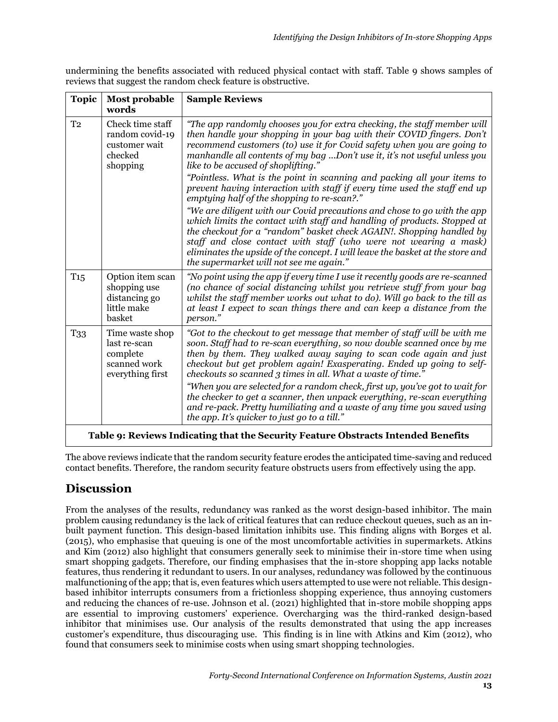| undermining the benefits associated with reduced physical contact with staff. Table 9 shows samples of |  |  |  |
|--------------------------------------------------------------------------------------------------------|--|--|--|
| reviews that suggest the random check feature is obstructive.                                          |  |  |  |

| <b>Topic</b>                                                                      | Most probable<br>words                                                          | <b>Sample Reviews</b>                                                                                                                                                                                                                                                                                                                                                                                                                                                                                                                                                                                                                                                                                                                                                                                                                                                                                                                                                                  |  |  |  |
|-----------------------------------------------------------------------------------|---------------------------------------------------------------------------------|----------------------------------------------------------------------------------------------------------------------------------------------------------------------------------------------------------------------------------------------------------------------------------------------------------------------------------------------------------------------------------------------------------------------------------------------------------------------------------------------------------------------------------------------------------------------------------------------------------------------------------------------------------------------------------------------------------------------------------------------------------------------------------------------------------------------------------------------------------------------------------------------------------------------------------------------------------------------------------------|--|--|--|
| T <sub>2</sub>                                                                    | Check time staff<br>random covid-19<br>customer wait<br>checked<br>shopping     | "The app randomly chooses you for extra checking, the staff member will<br>then handle your shopping in your bag with their COVID fingers. Don't<br>recommend customers (to) use it for Covid safety when you are going to<br>manhandle all contents of my bag Don't use it, it's not useful unless you<br>like to be accused of shoplifting."<br>"Pointless. What is the point in scanning and packing all your items to<br>prevent having interaction with staff if every time used the staff end up<br>emptying half of the shopping to re-scan?."<br>"We are diligent with our Covid precautions and chose to go with the app<br>which limits the contact with staff and handling of products. Stopped at<br>the checkout for a "random" basket check AGAIN!. Shopping handled by<br>staff and close contact with staff (who were not wearing a mask)<br>eliminates the upside of the concept. I will leave the basket at the store and<br>the supermarket will not see me again." |  |  |  |
| $T_{15}$                                                                          | Option item scan<br>shopping use<br>distancing go<br>little make<br>basket      | "No point using the app if every time I use it recently goods are re-scanned<br>(no chance of social distancing whilst you retrieve stuff from your bag<br>whilst the staff member works out what to do). Will go back to the till as<br>at least I expect to scan things there and can keep a distance from the<br>person."                                                                                                                                                                                                                                                                                                                                                                                                                                                                                                                                                                                                                                                           |  |  |  |
| T <sub>33</sub>                                                                   | Time waste shop<br>last re-scan<br>complete<br>scanned work<br>everything first | "Got to the checkout to get message that member of staff will be with me<br>soon. Staff had to re-scan everything, so now double scanned once by me<br>then by them. They walked away saying to scan code again and just<br>checkout but get problem again! Exasperating. Ended up going to self-<br>checkouts so scanned 3 times in all. What a waste of time."<br>"When you are selected for a random check, first up, you've got to wait for<br>the checker to get a scanner, then unpack everything, re-scan everything<br>and re-pack. Pretty humiliating and a waste of any time you saved using<br>the app. It's quicker to just go to a till."                                                                                                                                                                                                                                                                                                                                 |  |  |  |
| Table 9: Reviews Indicating that the Security Feature Obstracts Intended Benefits |                                                                                 |                                                                                                                                                                                                                                                                                                                                                                                                                                                                                                                                                                                                                                                                                                                                                                                                                                                                                                                                                                                        |  |  |  |

The above reviews indicate that the random security feature erodes the anticipated time-saving and reduced contact benefits. Therefore, the random security feature obstructs users from effectively using the app.

# **Discussion**

From the analyses of the results, redundancy was ranked as the worst design-based inhibitor. The main problem causing redundancy is the lack of critical features that can reduce checkout queues, such as an inbuilt payment function. This design-based limitation inhibits use. This finding aligns with Borges et al. (2015), who emphasise that queuing is one of the most uncomfortable activities in supermarkets. Atkins and Kim (2012) also highlight that consumers generally seek to minimise their in-store time when using smart shopping gadgets. Therefore, our finding emphasises that the in-store shopping app lacks notable features, thus rendering it redundant to users. In our analyses, redundancy was followed by the continuous malfunctioning of the app; that is, even features which users attempted to use were not reliable. This designbased inhibitor interrupts consumers from a frictionless shopping experience, thus annoying customers and reducing the chances of re-use. Johnson et al. (2021) highlighted that in-store mobile shopping apps are essential to improving customers' experience. Overcharging was the third-ranked design-based inhibitor that minimises use. Our analysis of the results demonstrated that using the app increases customer's expenditure, thus discouraging use. This finding is in line with Atkins and Kim (2012), who found that consumers seek to minimise costs when using smart shopping technologies.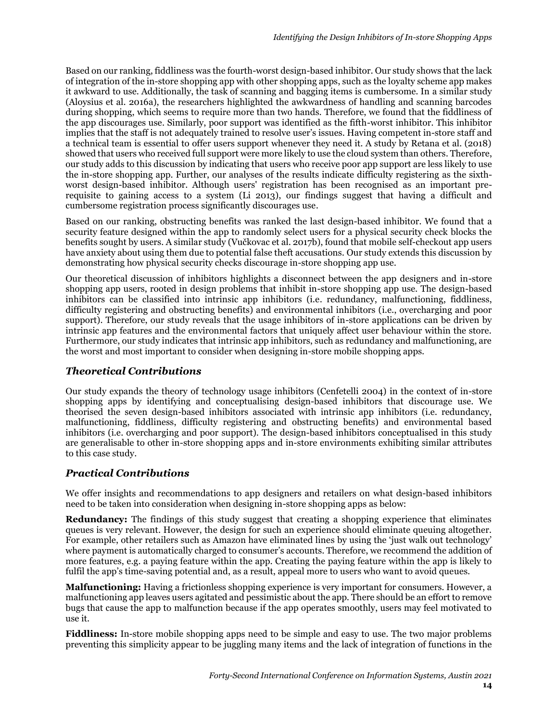Based on our ranking, fiddliness was the fourth-worst design-based inhibitor. Our study shows that the lack of integration of the in-store shopping app with other shopping apps, such as the loyalty scheme app makes it awkward to use. Additionally, the task of scanning and bagging items is cumbersome. In a similar study (Aloysius et al. 2016a), the researchers highlighted the awkwardness of handling and scanning barcodes during shopping, which seems to require more than two hands. Therefore, we found that the fiddliness of the app discourages use. Similarly, poor support was identified as the fifth-worst inhibitor. This inhibitor implies that the staff is not adequately trained to resolve user's issues. Having competent in-store staff and a technical team is essential to offer users support whenever they need it. A study by Retana et al. (2018) showed that users who received full support were more likely to use the cloud system than others. Therefore, our study adds to this discussion by indicating that users who receive poor app support are less likely to use the in-store shopping app. Further, our analyses of the results indicate difficulty registering as the sixthworst design-based inhibitor. Although users' registration has been recognised as an important prerequisite to gaining access to a system (Li 2013), our findings suggest that having a difficult and cumbersome registration process significantly discourages use.

Based on our ranking, obstructing benefits was ranked the last design-based inhibitor. We found that a security feature designed within the app to randomly select users for a physical security check blocks the benefits sought by users. A similar study (Vučkovac et al. 2017b), found that mobile self-checkout app users have anxiety about using them due to potential false theft accusations. Our study extends this discussion by demonstrating how physical security checks discourage in-store shopping app use.

Our theoretical discussion of inhibitors highlights a disconnect between the app designers and in-store shopping app users, rooted in design problems that inhibit in-store shopping app use. The design-based inhibitors can be classified into intrinsic app inhibitors (i.e. redundancy, malfunctioning, fiddliness, difficulty registering and obstructing benefits) and environmental inhibitors (i.e., overcharging and poor support). Therefore, our study reveals that the usage inhibitors of in-store applications can be driven by intrinsic app features and the environmental factors that uniquely affect user behaviour within the store. Furthermore, our study indicates that intrinsic app inhibitors, such as redundancy and malfunctioning, are the worst and most important to consider when designing in-store mobile shopping apps.

#### *Theoretical Contributions*

Our study expands the theory of technology usage inhibitors (Cenfetelli 2004) in the context of in-store shopping apps by identifying and conceptualising design-based inhibitors that discourage use. We theorised the seven design-based inhibitors associated with intrinsic app inhibitors (i.e. redundancy, malfunctioning, fiddliness, difficulty registering and obstructing benefits) and environmental based inhibitors (i.e. overcharging and poor support). The design-based inhibitors conceptualised in this study are generalisable to other in-store shopping apps and in-store environments exhibiting similar attributes to this case study.

## *Practical Contributions*

We offer insights and recommendations to app designers and retailers on what design-based inhibitors need to be taken into consideration when designing in-store shopping apps as below:

**Redundancy:** The findings of this study suggest that creating a shopping experience that eliminates queues is very relevant. However, the design for such an experience should eliminate queuing altogether. For example, other retailers such as Amazon have eliminated lines by using the 'just walk out technology' where payment is automatically charged to consumer's accounts. Therefore, we recommend the addition of more features, e.g. a paying feature within the app. Creating the paying feature within the app is likely to fulfil the app's time-saving potential and, as a result, appeal more to users who want to avoid queues.

**Malfunctioning:** Having a frictionless shopping experience is very important for consumers. However, a malfunctioning app leaves users agitated and pessimistic about the app. There should be an effort to remove bugs that cause the app to malfunction because if the app operates smoothly, users may feel motivated to use it.

**Fiddliness:** In-store mobile shopping apps need to be simple and easy to use. The two major problems preventing this simplicity appear to be juggling many items and the lack of integration of functions in the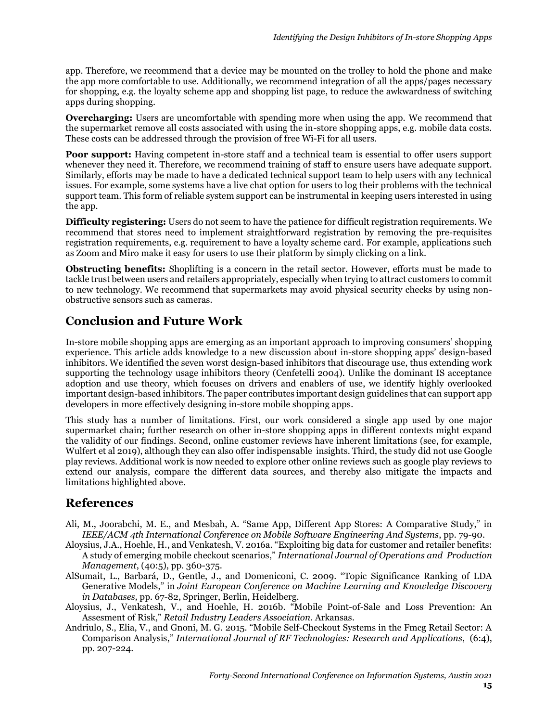app. Therefore, we recommend that a device may be mounted on the trolley to hold the phone and make the app more comfortable to use. Additionally, we recommend integration of all the apps/pages necessary for shopping, e.g. the loyalty scheme app and shopping list page, to reduce the awkwardness of switching apps during shopping.

**Overcharging:** Users are uncomfortable with spending more when using the app. We recommend that the supermarket remove all costs associated with using the in-store shopping apps, e.g. mobile data costs. These costs can be addressed through the provision of free Wi-Fi for all users.

**Poor support:** Having competent in-store staff and a technical team is essential to offer users support whenever they need it. Therefore, we recommend training of staff to ensure users have adequate support. Similarly, efforts may be made to have a dedicated technical support team to help users with any technical issues. For example, some systems have a live chat option for users to log their problems with the technical support team. This form of reliable system support can be instrumental in keeping users interested in using the app.

**Difficulty registering:** Users do not seem to have the patience for difficult registration requirements. We recommend that stores need to implement straightforward registration by removing the pre-requisites registration requirements, e.g. requirement to have a loyalty scheme card. For example, applications such as Zoom and Miro make it easy for users to use their platform by simply clicking on a link.

**Obstructing benefits:** Shoplifting is a concern in the retail sector. However, efforts must be made to tackle trust between users and retailers appropriately, especially when trying to attract customers to commit to new technology. We recommend that supermarkets may avoid physical security checks by using nonobstructive sensors such as cameras.

## **Conclusion and Future Work**

In-store mobile shopping apps are emerging as an important approach to improving consumers' shopping experience. This article adds knowledge to a new discussion about in-store shopping apps' design-based inhibitors. We identified the seven worst design-based inhibitors that discourage use, thus extending work supporting the technology usage inhibitors theory (Cenfetelli 2004). Unlike the dominant IS acceptance adoption and use theory, which focuses on drivers and enablers of use, we identify highly overlooked important design-based inhibitors. The paper contributes important design guidelines that can support app developers in more effectively designing in-store mobile shopping apps.

This study has a number of limitations. First, our work considered a single app used by one major supermarket chain; further research on other in-store shopping apps in different contexts might expand the validity of our findings. Second, online customer reviews have inherent limitations (see, for example, Wulfert et al 2019), although they can also offer indispensable insights. Third, the study did not use Google play reviews. Additional work is now needed to explore other online reviews such as google play reviews to extend our analysis, compare the different data sources, and thereby also mitigate the impacts and limitations highlighted above.

## **References**

- Ali, M., Joorabchi, M. E., and Mesbah, A. "Same App, Different App Stores: A Comparative Study," in *IEEE/ACM 4th International Conference on Mobile Software Engineering And Systems*, pp. 79-90.
- Aloysius, J.A., Hoehle, H., and Venkatesh, V. 2016a. "Exploiting big data for customer and retailer benefits: A study of emerging mobile checkout scenarios," *International Journal of Operations and Production Management*, (40:5), pp. 360-375.
- AlSumait, L., Barbará, D., Gentle, J., and Domeniconi, C. 2009. "Topic Significance Ranking of LDA Generative Models," in *Joint European Conference on Machine Learning and Knowledge Discovery in Databases,* pp. 67-82, Springer, Berlin, Heidelberg.
- Aloysius, J., Venkatesh, V., and Hoehle, H. 2016b. "Mobile Point-of-Sale and Loss Prevention: An Assesment of Risk," *Retail Industry Leaders Association*. Arkansas.
- Andriulo, S., Elia, V., and Gnoni, M. G. 2015. "Mobile Self-Checkout Systems in the Fmcg Retail Sector: A Comparison Analysis," *International Journal of RF Technologies: Research and Applications*, (6:4), pp. 207-224.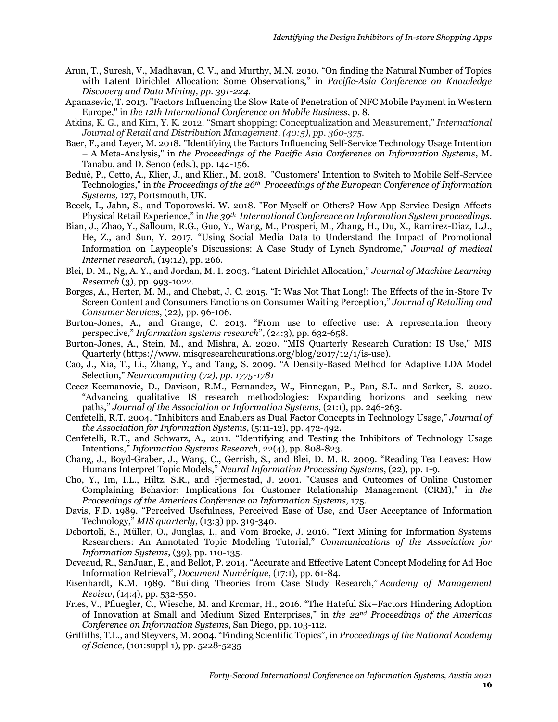- Arun, T., Suresh, V., Madhavan, C. V., and Murthy, M.N. 2010. "On finding the Natural Number of Topics with Latent Dirichlet Allocation: Some Observations," in *Pacific-Asia Conference on Knowledge Discovery and Data Mining, pp. 391-224.*
- Apanasevic, T. 2013. "Factors Influencing the Slow Rate of Penetration of NFC Mobile Payment in Western Europe," in *the 12th International Conference on Mobile Business*, p. 8.
- Atkins, K. G., and Kim, Y. K. 2012. "Smart shopping: Conceptualization and Measurement," *International Journal of Retail and Distribution Management, (40:5), pp. 360-375.*
- Baer, F., and Leyer, M. 2018. "Identifying the Factors Influencing Self-Service Technology Usage Intention – A Meta-Analysis," in *the Proceedings of the Pacific Asia Conference on Information Systems*, M. Tanabu, and D. Senoo (eds.), pp. 144-156.
- Beduè, P., Cetto, A., Klier, J., and Klier., M. 2018. "Customers' Intention to Switch to Mobile Self-Service Technologies," in *the Proceedings of the 26th Proceedings of the European Conference of Information Systems,* 127, Portsmouth, UK.
- Beeck, I., Jahn, S., and Toporowski. W. 2018. "For Myself or Others? How App Service Design Affects Physical Retail Experience," in *the 39th International Conference on Information System proceedings.*
- Bian, J., Zhao, Y., Salloum, R.G., Guo, Y., Wang, M., Prosperi, M., Zhang, H., Du, X., Ramirez-Diaz, L.J., He, Z., and Sun, Y. 2017. "Using Social Media Data to Understand the Impact of Promotional Information on Laypeople's Discussions: A Case Study of Lynch Syndrome," *Journal of medical Internet research*, (19:12), pp. 266.
- Blei, D. M., Ng, A. Y., and Jordan, M. I. 2003. "Latent Dirichlet Allocation," *Journal of Machine Learning Research* (3), pp. 993-1022.
- Borges, A., Herter, M. M., and Chebat, J. C. 2015. "It Was Not That Long!: The Effects of the in-Store Tv Screen Content and Consumers Emotions on Consumer Waiting Perception," *Journal of Retailing and Consumer Services*, (22), pp. 96-106.
- Burton-Jones, A., and Grange, C. 2013. "From use to effective use: A representation theory perspective," *Information systems research*", (24:3), pp. 632-658.
- Burton-Jones, A., Stein, M., and Mishra, A. 2020. "MIS Quarterly Research Curation: IS Use," MIS Quarterly (https://www. misqresearchcurations.org/blog/2017/12/1/is-use).
- Cao, J., Xia, T., Li., Zhang, Y., and Tang, S. 2009*. "*A Density-Based Method for Adaptive LDA Model Selection," *Neurocomputing (72), pp. 1775-1781*
- Cecez-Kecmanovic, D., Davison, R.M., Fernandez, W., Finnegan, P., Pan, S.L. and Sarker, S. 2020. "Advancing qualitative IS research methodologies: Expanding horizons and seeking new paths," *Journal of the Association or Information Systems*, (21:1), pp. 246-263.
- Cenfetelli, R.T. 2004. "Inhibitors and Enablers as Dual Factor Concepts in Technology Usage," *Journal of the Association for Information Systems*, (5:11-12), pp. 472-492.
- Cenfetelli, R.T., and Schwarz, A., 2011. "Identifying and Testing the Inhibitors of Technology Usage Intentions," *Information Systems Research*, 22(4), pp. 808-823.
- Chang, J., Boyd-Graber, J., Wang, C., Gerrish, S., and Blei, D. M. R. 2009. "Reading Tea Leaves: How Humans Interpret Topic Models," *Neural Information Processing Systems*, (22), pp. 1-9.
- Cho, Y., Im, I.L., Hiltz, S.R., and Fjermestad, J. 2001. "Causes and Outcomes of Online Customer Complaining Behavior: Implications for Customer Relationship Management (CRM)," in *the Proceedings of the Americas Conference on Information Systems,* 175.
- Davis, F.D. 1989. "Perceived Usefulness, Perceived Ease of Use, and User Acceptance of Information Technology," *MIS quarterly*, (13:3) pp. 319-340.
- Debortoli, S., Müller, O., Junglas, I., and Vom Brocke, J. 2016. "Text Mining for Information Systems Researchers: An Annotated Topic Modeling Tutorial," *Communications of the Association for Information Systems*, (39), pp. 110-135.
- Deveaud, R., SanJuan, E., and Bellot, P. 2014. "Accurate and Effective Latent Concept Modeling for Ad Hoc Information Retrieval", *Document Numérique*, (17:1), pp. 61-84.
- Eisenhardt, K.M. 1989. "Building Theories from Case Study Research," *Academy of Management Review*, (14:4), pp. 532-550.
- Fries, V., Pfluegler, C., Wiesche, M. and Krcmar, H., 2016. "The Hateful Six–Factors Hindering Adoption of Innovation at Small and Medium Sized Enterprises," in *the 22nd Proceedings of the Americas Conference on Information Systems*, San Diego, pp. 103-112.
- Griffiths, T.L., and Steyvers, M. 2004. "Finding Scientific Topics", in *Proceedings of the National Academy of Science*, (101:suppl 1), pp. 5228-5235